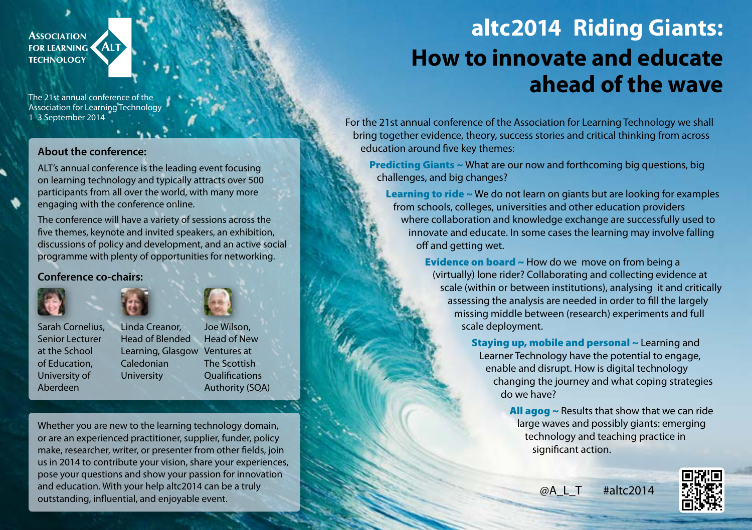

The 21st annual conference of the Association for Learning Technology 1–3 September 2014

### **About the conference:**

ALT's annual conference is the leading event focusing on learning technology and typically attracts over 500 participants from all over the world, with many more engaging with the conference online.

The conference will have a variety of sessions across the five themes, keynote and invited speakers, an exhibition, discussions of policy and development, and an active social programme with plenty of opportunities for networking.

### **Conference co-chairs:**



Sarah Cornelius, Senior Lecturer at the School of Education,

University of Aberdeen



Learning, Glasgow Ventures at Caledonian University Joe Wilson, Head of New The Scottish **Qualifications** Authority (SQA)

Whether you are new to the learning technology domain, or are an experienced practitioner, supplier, funder, policy make, researcher, writer, or presenter from other fields, join us in 2014 to contribute your vision, share your experiences, pose your questions and show your passion for innovation and education. With your help altc2014 can be a truly outstanding, influential, and enjoyable event.

## **altc2014 Riding Giants: How to innovate and educate ahead of the wave**

For the 21st annual conference of the Association for Learning Technology we shall bring together evidence, theory, success stories and critical thinking from across education around five key themes:

Predicting Giants ~ What are our now and forthcoming big questions, big challenges, and big changes?

Learning to ride ~ We do not learn on giants but are looking for examples from schools, colleges, universities and other education providers where collaboration and knowledge exchange are successfully used to innovate and educate. In some cases the learning may involve falling off and getting wet.

> Evidence on board ~ How do we move on from being a (virtually) lone rider? Collaborating and collecting evidence at scale (within or between institutions), analysing it and critically assessing the analysis are needed in order to fill the largely missing middle between (research) experiments and full scale deployment.

> > Staying up, mobile and personal ~ Learning and Learner Technology have the potential to engage, enable and disrupt. How is digital technology changing the journey and what coping strategies do we have?

> > > All  $\text{agg} \sim$  Results that show that we can ride large waves and possibly giants: emerging technology and teaching practice in significant action.